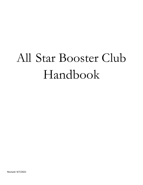# All Star Booster Club Handbook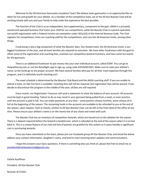Welcome to the All American Gymnastics Academy Team! We believe team gymnastics is an opportunity like no other for fun and growth for your athlete. As a member of the competitive team, we at the All Star Booster Club will be working closely with you and your family to help make the experience the best possible.

 The function of the Club is as an independent, but supplementary, component to the gym. AAGA is a privately owned and operated business that trains your child for our competitions, while the Booster Club is a parent-operated, non-profit organization with a Federal income tax exemption under 501(c)(3) of the Internal Revenue Code. The Club registers for competitions, hires our coaching staff for the competitions, and runs the All American Invite, among other things.

 Fundraising is also a big component of what the Booster does. Our hosted meet, the All American Invite, is our biggest fundraiser of the year, and all team families are required to volunteer. We have other fundraisers with the goal to offset some of the registration and coaching fees, maintain our competition leotard inventory, and have some fun events for the gymnasts.

There is an additional fundraiser to put money into your own individual account, called SCRIP. You can go to shopwithscrip.com or use the RaiseRight app to sign up, using code 41E5A3957655. Make sure to note your athlete's name, so the funds go to the proper account. We have several families who pay for all their meet expenses through this program, and it is definitely worth checking out!

 The meet schedule is determined by the Booster Club Board and the AAGA coaching staff. If you are unable to attend a meet, an Opt Out form is available. Coaching fees will still be required, but registration fees will be waived. If you decide to discontinue the program in the middle of the year, all fees are still required.

 Every month, our Registration Treasurer will send a statement to show the balance of your account. All accounts must be kept in good standing. Failure to do so may result in your gymnast being pulled from a meet, or even practice, until the account is paid in full. You can make payments at any time – some parents choose monthly, some choose all in full at the beginning of the season. The remaining funds in the accounts are available to be refunded to you at the end of the season, upon request. Cash or checks, written to All Star Booster Club, can be left at the front desk of the office at any time. Please ensure your athlete's name is on the memo line of any check and noted with cash.

 The Booster Club has an inventory of competition leotards, which are loaned out to the athletes for the season. There is a deposit required before the leotard is handed over, which is refunded at the end of the season when it is turned back in. This is a unique feature of our club and lots of parents are grateful for this system as it saves families a significant cost in purchasing leotards.

 Once you have committed to the team, please join our Facebook group All Star Booster Club, and email the below address your contact information, daughter's name, and level to start receiving team updates and communications.

 I hope this answers your basic questions. If there is something else you think of, please feel free to email me at presidentallstarboosterclub@gmail.com.

Valarie Kauffman

President, All Star Booster Club

Revised: 9/7/2021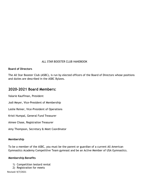# ALL STAR BOOSTER CLUB HANDBOOK

#### Board of Directors

The All Star Booster Club (ASBC), is run by elected officers of the Board of Directors whose positions and duties are described in the ASBC Bylaws.

# 2020-2021 Board Members:

Valarie Kauffman, President

Jodi Meyer, Vice-President of Membership

Leslie Reiner, Vice-President of Operations

Kristi Humpal, General Fund Treasurer

Aimee Chase, Registration Treasurer

Amy Thompson, Secretary & Meet Coordinator

#### Membership

To be a member of the ASBC, you must be the parent or guardian of a current All American Gymnastics Academy Competitive Team gymnast and be an Active Member of USA Gymnastics.

#### Membership Benefits

- 1) Competition leotard rental
- 2) Registration for meets

Revised: 9/7/2021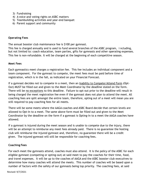- 3) Fundraising
- 4) A voice and voting rights on ASBC matters
- 5) Teambuilding activities and year-end banquet
- 6) Parent support and community

#### Operating Fees

The annual booster club maintenance fee is \$100 per gymnast.

This fee is charged annually and is used to fund several branches of the ASBC program, i ncluding, but not limited to: coach education, team parties, gifts for gymnasts and other operating expenses. This fee is non-refundable. It will be charged at the beginning of each competitive season.

#### Meet Fees

Each gymnastics meet charges a registration fee. This fee includes an individual component and a team component. For the gymnast to compete, the meet fees must be paid before time of registration, which is in the fall, as indicated on your Financial Forecast.

If a gymnast decides not to compete in a meet, then an Inability to Compete/Attend Form (Opt-Out) MUST be filled out and given to the Meet Coordinator by the deadline stated on the form. There will be no exceptions to this deadline. Failure to opt-out prior to the deadline will result in being charged the meet registration fee even if the gymnast does not plan to attend the meet. All coaching fees are split amongst the entire team, therefore, opting out of a meet will mean you are still required to pay coaching fees for all meets.

There will be some meets where the AAGA coaches and ASBC Board decide that certain levels are allowed to Opt-In to a meet. The same above form must be filled out and given to the Meet Coordinator by the deadline on the form if a gymnast is Opting-In to a meet the AAGA coaches have allowed.

If a gymnast is injured during the meet season and is unable to compete due to the injury, there will be an attempt to reimburse any meet fees already paid. There is no guarantee the hosting club will reimburse the injured gymnast and, therefore, no guarantee there will be a credit given. The injured gymnast will still be responsible for coaching fees.

#### Coaching Fees

For each meet the gymnasts attend, coaches must also attend. It is the policy of the ASBC for each eligible gymnast (competing or opting-out) at said meet to pay the coaches for their time, food, and travel expenses. It will be up to the coaches of AAGA and the ASBC booster club executives to determine how many coaches will attend the meets. This number of coaches will be based upon a number of factors with the safety of our gymnasts being top priority. The coaching fees, at said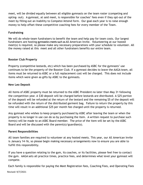meet, will be divided equally between all eligible gymnasts on the team roster (competing and opting- out). A gymnast, at said meet, is responsible for coaches' fees even if they opt-out of the meet by filling out an Inability to Compete/Attend form. Our goal each year is to raise enough money to help offset these competitive coaching fees for every member of the Team.

# Fundraising

We will do whole-team fundraisers to benefit the team and help pay for team costs. Our largest fundraisers are hosting gymnastics meets such as All American Invite. Volunteering at our hosted meet(s) is required, so please make any necessary preparations with your schedule to volunteer. All the money raised at this meet and all other fundraisers benefits our entire team.

# Booster Club Property

Property (competitive leotards, etc) which has been purchased by ASBC for the gymnasts' use continues to be the property of the Booster Club. If a gymnast decides to leave the AAGA team, all items must be returned to ASBC or a full replacement cost will be charged. This does not include items which were given as gifts by ASBC to the gymnasts.

# New Leo Deposit

All items of ASBC property must be returned to the ASBC President no later than May 31 following the competition year. A \$30 deposit will be charged before leotards are distributed. A \$25 portion of the deposit will be refunded at the return of the leotard and the remaining \$5 of the deposit will be refunded with the return of the distributed garment bag. Failure to return the property by this time will result in an additional \$25 per month fee charged until the property is returned.

Any gymnast who wishes to keep property purchased by ASBC after leaving the team or when the property is no longer in use can do so by purchasing the item. A written request to purchase such item(s) will be made to an ASBC Board member. The price of the item will be set by the ASBC Board and will be discussed with the parent(s)/guardian(s).

# Parent Responsibilities

All team families are required to volunteer at any hosted meets. This year, our All American Invite is January 14-16, so please begin making necessary arrangements now to ensure you are able to fulfill this responsibility.

If you have a question relating to the gym, its coaches, or its facilities, please feel free to contact the gym. AAGA sets all practice times, practice fees, and determines what level your gymnast will compete.

Each family is responsible for paying the Meet Registration fees, Coaching Fees, and Operating Fees

Revised: 9/7/2021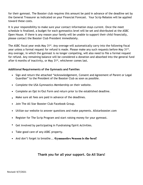for their gymnast. The Booster club requires this amount be paid in advance of the deadline set by the General Treasurer as indicated on your Financial Forecast. Your Scrip Rebates will be applied toward these costs.

It is your responsibility to make sure your contact information stays current. Once the meet schedule is finalized, a budget for each gymnastics level will be set and distributed at the ASBC Open House. If there is any reason your family will be unable to support their child financially, please contact the Booster Club President immediately.

The ASBC fiscal year ends May 31<sup>st</sup>. Any overage will automatically carry into the following fiscal year unless a formal request for refund is made. Please make any such requests before May 31<sup>st</sup>. Any overage, in which the gymnast is no longer competing, will also need to file a formal request for refund. Any remaining balance will be considered a donation and absorbed into the general fund after 6 months of inactivity, or May  $31<sup>st</sup>$ , whichever comes last.

# Additional Requirements of the Gymnasts and Families

- Sign and return the attached "Acknowledgement, Consent and Agreement of Parent or Legal Guardian" to the President of the Booster Club as soon as possible.
- Complete the USA Gymnastics Membership on their website.
- Complete an Opt In/Out Form and return prior to the established deadline.
- Make sure all fees are paid in advance of the deadlines.
- Join The All Star Booster Club Facebook Group.
- Utilize our website to answer questions and make payments. Allstarbooster.com
- Register for The Scrip Program and start raising money for your gymnast.
- Get involved by participating in Fundraising/Spirit Activities.
- Take good care of any ASBC property.
- And don't forget to breathe... Gymnastics Season is the best!

# Thank you for all your support. Go All Stars!